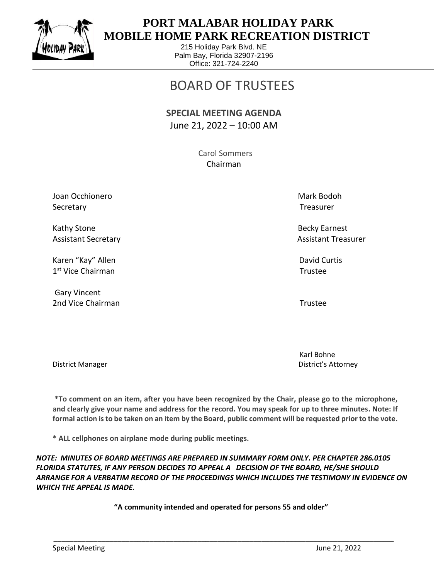

 $\overline{a}$ 

## **PORT MALABAR HOLIDAY PARK MOBILE HOME PARK RECREATION DISTRICT**

215 Holiday Park Blvd. NE Palm Bay, Florida 32907-2196 Office: 321-724-2240

## BOARD OF TRUSTEES

## **SPECIAL MEETING AGENDA** June 21, 2022 – 10:00 AM

 Carol Sommers Chairman

Joan Occhionero Mark Bodoh Secretary Treasurer

Kathy Stone Becky Earnest

Karen "Kay" Allen David Curtis Curtis Allen David Curtis David Curtis Curtis Curtis David Curtis Curtis David Curtis 1 st Vice Chairman Trustee

Gary Vincent 2nd Vice Chairman Trustee

Assistant Secretary Assistant Treasurer Assistant Treasurer

Karl Bohne District Manager District's Attorney

**\*To comment on an item, after you have been recognized by the Chair, please go to the microphone, and clearly give your name and address for the record. You may speak for up to three minutes. Note: If formal action is to be taken on an item by the Board, public comment will be requested prior to the vote.**

**\* ALL cellphones on airplane mode during public meetings.**

*NOTE: MINUTES OF BOARD MEETINGS ARE PREPARED IN SUMMARY FORM ONLY. PER CHAPTER 286.0105 FLORIDA STATUTES, IF ANY PERSON DECIDES TO APPEAL A DECISION OF THE BOARD, HE/SHE SHOULD ARRANGE FOR A VERBATIM RECORD OF THE PROCEEDINGS WHICH INCLUDES THE TESTIMONY IN EVIDENCE ON WHICH THE APPEAL IS MADE.*

**"A community intended and operated for persons 55 and older"**

\_\_\_\_\_\_\_\_\_\_\_\_\_\_\_\_\_\_\_\_\_\_\_\_\_\_\_\_\_\_\_\_\_\_\_\_\_\_\_\_\_\_\_\_\_\_\_\_\_\_\_\_\_\_\_\_\_\_\_\_\_\_\_\_\_\_\_\_\_\_\_\_\_\_\_\_\_\_\_\_\_\_\_\_\_